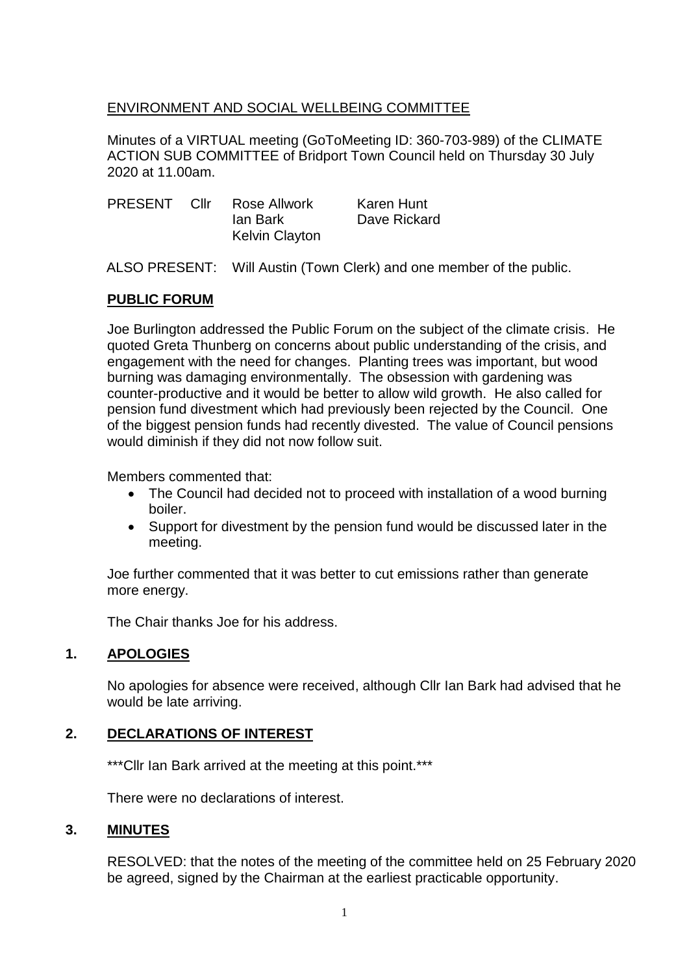#### ENVIRONMENT AND SOCIAL WELLBEING COMMITTEE

Minutes of a VIRTUAL meeting (GoToMeeting ID: 360-703-989) of the CLIMATE ACTION SUB COMMITTEE of Bridport Town Council held on Thursday 30 July 2020 at 11.00am.

| <b>PRESENT</b> | Cllr | Rose Allwork          | Karen Hunt   |
|----------------|------|-----------------------|--------------|
|                |      | lan Bark              | Dave Rickard |
|                |      | <b>Kelvin Clayton</b> |              |

ALSO PRESENT: Will Austin (Town Clerk) and one member of the public.

#### **PUBLIC FORUM**

Joe Burlington addressed the Public Forum on the subject of the climate crisis. He quoted Greta Thunberg on concerns about public understanding of the crisis, and engagement with the need for changes. Planting trees was important, but wood burning was damaging environmentally. The obsession with gardening was counter-productive and it would be better to allow wild growth. He also called for pension fund divestment which had previously been rejected by the Council. One of the biggest pension funds had recently divested. The value of Council pensions would diminish if they did not now follow suit.

Members commented that:

- The Council had decided not to proceed with installation of a wood burning boiler.
- Support for divestment by the pension fund would be discussed later in the meeting.

Joe further commented that it was better to cut emissions rather than generate more energy.

The Chair thanks Joe for his address.

#### **1. APOLOGIES**

No apologies for absence were received, although Cllr Ian Bark had advised that he would be late arriving.

#### **2. DECLARATIONS OF INTEREST**

\*\*\*Cllr Ian Bark arrived at the meeting at this point.\*\*\*

There were no declarations of interest.

#### **3. MINUTES**

RESOLVED: that the notes of the meeting of the committee held on 25 February 2020 be agreed, signed by the Chairman at the earliest practicable opportunity.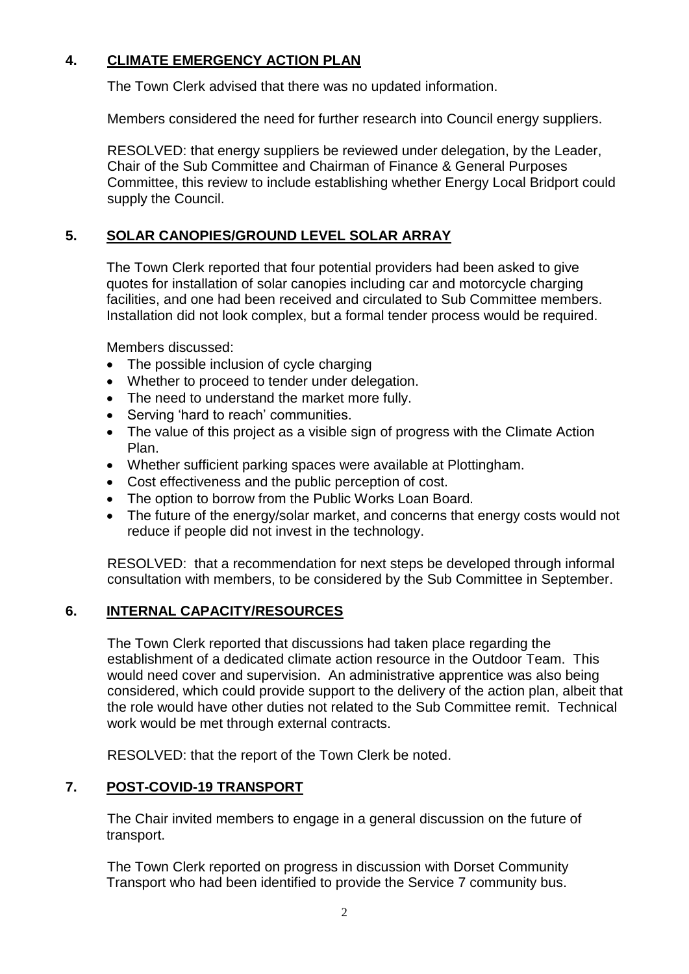### **4. CLIMATE EMERGENCY ACTION PLAN**

The Town Clerk advised that there was no updated information.

Members considered the need for further research into Council energy suppliers.

RESOLVED: that energy suppliers be reviewed under delegation, by the Leader, Chair of the Sub Committee and Chairman of Finance & General Purposes Committee, this review to include establishing whether Energy Local Bridport could supply the Council.

# **5. SOLAR CANOPIES/GROUND LEVEL SOLAR ARRAY**

The Town Clerk reported that four potential providers had been asked to give quotes for installation of solar canopies including car and motorcycle charging facilities, and one had been received and circulated to Sub Committee members. Installation did not look complex, but a formal tender process would be required.

Members discussed:

- The possible inclusion of cycle charging
- Whether to proceed to tender under delegation.
- The need to understand the market more fully.
- Serving 'hard to reach' communities.
- The value of this project as a visible sign of progress with the Climate Action Plan.
- Whether sufficient parking spaces were available at Plottingham.
- Cost effectiveness and the public perception of cost.
- The option to borrow from the Public Works Loan Board.
- The future of the energy/solar market, and concerns that energy costs would not reduce if people did not invest in the technology.

RESOLVED: that a recommendation for next steps be developed through informal consultation with members, to be considered by the Sub Committee in September.

# **6. INTERNAL CAPACITY/RESOURCES**

The Town Clerk reported that discussions had taken place regarding the establishment of a dedicated climate action resource in the Outdoor Team. This would need cover and supervision. An administrative apprentice was also being considered, which could provide support to the delivery of the action plan, albeit that the role would have other duties not related to the Sub Committee remit. Technical work would be met through external contracts.

RESOLVED: that the report of the Town Clerk be noted.

# **7. POST-COVID-19 TRANSPORT**

The Chair invited members to engage in a general discussion on the future of transport.

The Town Clerk reported on progress in discussion with Dorset Community Transport who had been identified to provide the Service 7 community bus.